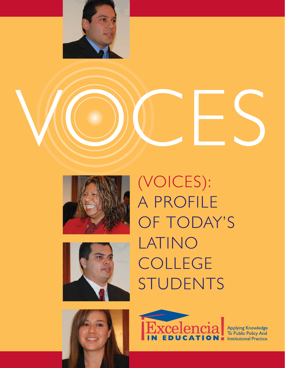

# VOCES







(VOICES): A PROFILE OF TODAY'S LATINO **COLLEGE** STUDENTS

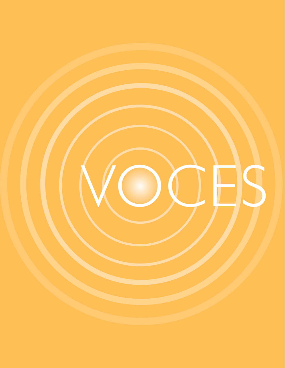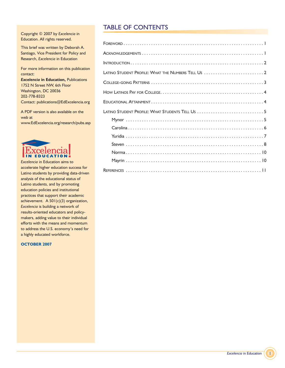# TABLE OF CONTENTS

Copyright © 2007 by *Excelencia* in Education. All rights reserved.

This brief was written by Deborah A. Santiago, Vice President for Policy and Research, *Excelencia* in Education

For more information on this publication contact:

*Excelencia* **in Education,** Publications 1752 N Street NW, 6th Floor Washington, DC 20036 202-778-8323 Contact: publications@EdExcelencia.org

A PDF version is also available on the web at www.EdExcelencia.org/research/pubs.asp



*Excelencia* in Education aims to accelerate higher education success for Latino students by providing data-driven analysis of the educational status of Latino students, and by promoting education policies and institutional practices that support their academic achievement. A  $501(c)(3)$  organization, *Excelencia* is building a network of results-oriented educators and policymakers, adding value to their individual efforts with the means and momentum to address the U.S. economy's need for a highly educated workforce.

**OCTOBER 2007**

| LATINO STUDENT PROFILE: WHAT THE NUMBERS TELL US |
|--------------------------------------------------|
|                                                  |
|                                                  |
|                                                  |
| LATINO STUDENT PROFILE: WHAT STUDENTS TELL US 5  |
|                                                  |
|                                                  |
|                                                  |
|                                                  |
|                                                  |
|                                                  |
|                                                  |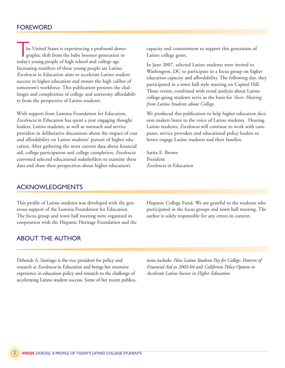## FOREWORD

he United States is experiencing a profound demographic shift from the baby boomer generation to today's young people of high school and college age. Increasing numbers of these young people are Latino. *Excelencia* in Education aims to accelerate Latino student success in higher education and ensure the high caliber of tomorrow's workforce. This publication presents the challenges and complexities of college and university affordability from the perspective of Latino students.

With support from Lumina Foundation for Education, *Excelencia* in Education has spent a year engaging thought leaders, Latino students, as well as outreach and service providers in deliberative discussions about the impact of cost and affordability on Latino students' pursuit of higher education. After gathering the most current data about financial aid, college participation and college completion, *Excelencia* convened selected educational stakeholders to examine these data and share their perspectives about higher education's

capacity and commitment to support this generation of Latino college goers.

In June 2007, selected Latino students were invited to Washington, DC to participate in a focus group on higher education capacity and affordability. The following day, they participated in a town hall style meeting on Capitol Hill. These events, combined with trend analysis about Latino college-going students serve as the basis for *Voces: Hearing from Latino Students about College.* 

We produced this publication to help higher education decision makers listen to the voice of Latino students. Hearing Latino students, *Excelencia* will continue to work with campuses, service providers and educational policy leaders to better engage Latino students and their families.

Sarita E. Brown President *Excelencia* in Education

## ACKNOWLEDGMENTS

This profile of Latino students was developed with the generous support of the Lumina Foundation for Education. The focus group and town hall meeting were organized in cooperation with the Hispanic Heritage Foundation and the Hispanic College Fund. We are grateful to the students who participated in the focus groups and town hall meeting. The author is solely responsible for any errors in content.

## ABOUT THE AUTHOR

Deborah A. Santiago is the vice president for policy and research at *Excelencia* in Education and brings her extensive experience in education policy and research to the challenge of accelerating Latino student success. Some of her recent publica-

tions include: *How Latino Students Pay for College: Patterns of Financial Aid in 2003-04* and *California Policy Options to Accelerate Latino Success in Higher Education*.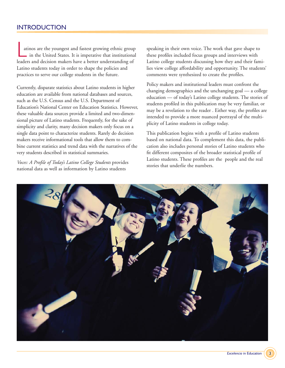# INTRODUCTION

atinos are the youngest and fastest growing ethnic group<br>in the United States. It is imperative that institutional<br>leaders and decision makers have a better understanding of in the United States. It is imperative that institutional leaders and decision makers have a better understanding of Latino students today in order to shape the policies and practices to serve our college students in the future.

Currently, disparate statistics about Latino students in higher education are available from national databases and sources, such as the U.S. Census and the U.S. Department of Education's National Center on Education Statistics. However, these valuable data sources provide a limited and two-dimensional picture of Latino students. Frequently, for the sake of simplicity and clarity, many decision makers only focus on a single data point to characterize students. Rarely do decision makers receive informational tools that allow them to combine current statistics and trend data with the narratives of the very students described in statistical summaries.

*Voces: A Profile of Today's Latino College Students* provides national data as well as information by Latino students

speaking in their own voice. The work that gave shape to these profiles included focus groups and interviews with Latino college students discussing how they and their families view college affordability and opportunity. The students' comments were synthesized to create the profiles.

Policy makers and institutional leaders must confront the changing demographics and the unchanging goal — a college education — of today's Latino college students. The stories of students profiled in this publication may be very familiar, or may be a revelation to the reader . Either way, the profiles are intended to provide a more nuanced portrayal of the multiplicity of Latino students in college today.

This publication begins with a profile of Latino students based on national data. To complement this data, the publication also includes personal stories of Latino students who fit different composites of the broader statistical profile of Latino students. These profiles are the people and the real stories that underlie the numbers.

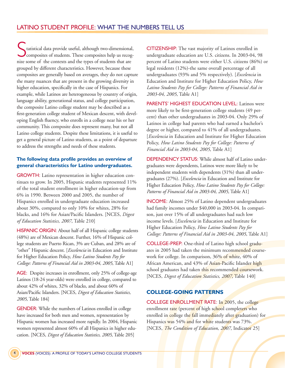Statistical data provide useful, although two-dimensional,<br>composites of students. These composites help us recogcomposites of students. These composites help us recognize some of the contexts and the types of students that are grouped by different characteristics. However, because these composites are generally based on averages, they do not capture the many nuances that are present in the growing diversity in higher education, specifically in the case of Hispanics. For example, while Latinos are heterogeneous by country of origin, language ability, generational status, and college participation, the composite Latino college student may be described as a first-generation college student of Mexican descent, with developing English fluency, who enrolls in a college near his or her community. This composite does represent many, but not all Latino college students. Despite these limitations, it is useful to get a general picture of Latino students, as a point of departure to address the strengths and needs of these students.

## **The following data profile provides an overview of general characteristics for Latino undergraduates.**

GROWTH: Latino representation in higher education continues to grow. In 2005, Hispanic students represented 11% of the total student enrollment in higher education-up from 6% in 1990. Between 2000 and 2005, the number of Hispanics enrolled in undergraduate education increased about 30%, compared to only 10% for whites, 28% for blacks, and 16% for Asian/Pacific Islanders. [NCES, *Digest of Education Statistics, 2007*, Table 210]

HISPANIC ORIGIN: About half of all Hispanic college students (48%) are of Mexican descent. Further, 16% of Hispanic college students are Puerto Rican, 3% are Cuban, and 28% are of "other" Hispanic descent. [*Excelencia* in Education and Institute for Higher Education Policy, *How Latino Students Pay for College: Patterns of Financial Aid in 2003-04, 2005*, Table A1]

AGE: Despite increases in enrollment, only 25% of college-age Latinos (18-24 year-olds) were enrolled in college, compared to about 42% of whites, 32% of blacks, and about 60% of Asian/Pacific Islanders. [NCES, *Digest of Education Statistics, 2005*, Table 184]

GENDER: While the numbers of Latinos enrolled in college have increased for both men and women, representation by Hispanic women has increased more rapidly. In 2004, Hispanic women represented almost 60% of all Hispanics in higher education. [NCES, *Digest of Education Statistics, 2005*, Table 205]

CITIZENSHIP: The vast majority of Latinos enrolled in undergraduate education are U.S. citizens. In 2003-04, 98 percent of Latino students were either U.S. citizens (86%) or legal residents (12%)-the same overall percentage of all undergraduates (93% and 5% respectively). [*Excelencia* in Education and Institute for Higher Education Policy, *How Latino Students Pay for College: Patterns of Financial Aid in 2003-04, 2005*, Table A1]

PARENTS' HIGHEST EDUCATION LEVEL: Latinos were more likely to be first-generation college students (49 percent) than other undergraduates in 2003-04. Only 29% of Latinos in college had parents who had earned a bachelor's degree or higher, compared to 41% of all undergraduates. [*Excelencia* in Education and Institute for Higher Education Policy, *How Latino Students Pay for College: Patterns of Financial Aid in 2003-04, 2005*, Table A1]

DEPENDENCY STATUS: While almost half of Latino undergraduates were dependents, Latinos were more likely to be independent students with dependents (31%) than all undergraduates (27%). [*Excelencia* in Education and Institute for Higher Education Policy, *How Latino Students Pay for College: Patterns of Financial Aid in 2003-04, 2005*, Table A1]

INCOME: Almost 25% of Latino dependent undergraduates had family incomes under \$40,000 in 2003-04. In comparison, just over 15% of all undergraduates had such low income levels. [*Excelencia* in Education and Institute for Higher Education Policy, *How Latino Students Pay for College: Patterns of Financial Aid in 2003-04, 2005*, Table A1]

COLLEGE-PREP: One-third of Latino high school graduates in 2005 had taken the minimum recommended coursework for college. In comparison, 36% of white, 40% of African American, and 43% of Asian-Pacific Islander high school graduates had taken this recommended coursework. [NCES, *Digest of Education Statistics, 2007*, Table 140]

## **COLLEGE-GOING PATTERNS**

COLLEGE ENROLLMENT RATE: In 2005, the college enrollment rate (percent of high school completers who enrolled in college the fall immediately after graduation) for Hispanics was 54% and for white students was 73%. [NCES, *The Condition of Education, 2007*, Indicator 25]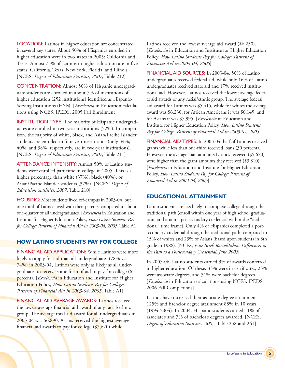LOCATION: Latinos in higher education are concentrated in several key states. About 50% of Hispanics enrolled in higher education were in two states in 2005: California and Texas. Almost 75% of Latinos in higher education are in five states: California, Texas, New York, Florida, and Illinois. [NCES, *Digest of Education Statistics, 2007*, Table 212]

CONCENTRATION: Almost 50% of Hispanic undergraduate students are enrolled in about 7% of institutions of higher education (252 institutions) identified as Hispanic-Serving Institutions (HSIs). [*Excelencia* in Education calculations using NCES, IPEDS, 2005 Fall Enrollment]

INSTITUTION TYPE: The majority of Hispanic undergraduates are enrolled in two-year institutions (52%). In comparison, the majority of white, black, and Asian/Pacific Islander students are enrolled in four-year institutions (only 34%, 40%, and 38%, respectively, are in two-year institutions). [NCES, *Digest of Education Statistics, 2007*, Table 211]

ATTENDANCE INTENSITY: Almost 50% of Latino students were enrolled part-time in college in 2005. This is a higher percentage than white (37%), black (40%), or Asian/Pacific Islander students (37%). [NCES, *Digest of Education Statistics, 2007*, Table 210]

HOUSING: Most students lived off-campus in 2003-04, but one-third of Latinos lived with their parents, compared to about one-quarter of all undergraduates. [*Excelencia* in Education and Institute for Higher Education Policy, *How Latino Students Pay for College: Patterns of Financial Aid in 2003-04, 2005*, Table A1]

## **HOW LATINO STUDENTS PAY FOR COLLEGE**

FINANCIAL AID APPLICATION: While Latinos were more likely to apply for aid than all undergraduates (78% vs. 74%) in 2003-04, Latinos were only as likely as all undergraduates to receive some form of aid to pay for college (63 percent). [*Excelencia* in Education and Institute for Higher Education Policy, *How Latino Students Pay for College: Patterns of Financial Aid in 2003-04, 2005*, Table A1]

FINANCIAL AID AVERAGE AWARDS: Latinos received the lowest average financial aid award of any racial/ethnic group. The average total aid award for all undergraduates in 2003-04 was \$6,890. Asians received the highest average financial aid awards to pay for college (\$7,620) while

Latinos received the lowest average aid award (\$6,250). [*Excelencia* in Education and Institute for Higher Education Policy, *How Latino Students Pay for College: Patterns of Financial Aid in 2003-04, 2005*]

FINANCIAL AID SOURCES: In 2003-04, 50% of Latino undergraduates received federal aid, while only 16% of Latino undergraduates received state aid and 17% received institutional aid. However, Latinos received the lowest average federal aid awards of any racial/ethnic group. The average federal aid award for Latinos was \$5,415, while for whites the average award was \$6,230, for African Americans it was \$6,145, and for Asians it was \$5,995. [*Excelencia* in Education and Institute for Higher Education Policy, *How Latino Students Pay for College: Patterns of Financial Aid in 2003-04, 2005*]

FINANCIAL AID TYPES: In 2003-04, half of Latinos received grants while less than one-third received loans (30 percent). However, the average loan amounts Latinos received (\$5,620) were higher than the grant amounts they received (\$3,810). [*Excelencia* in Education and Institute for Higher Education Policy, *How Latino Students Pay for College: Patterns of Financial Aid in 2003-04, 2005*]

## **EDUCATIONAL ATTAINMENT**

Latino students are less likely to complete college through the traditional path (enroll within one year of high school graduation, and attain a postsecondary credential within the "traditional" time frame). Only 4% of Hispanics completed a postsecondary credential through the traditional path, compared to 15% of whites and 23% of Asians (based upon students in 8th grade in 1988). [NCES, *Issue Brief: Racial/Ethnic Differences in the Path to a Postsecondary Credential, June 2003*]

In 2005-06, Latino students earned 9% of awards conferred in higher education. Of these, 33% were in certificates, 23% were associate degrees, and 31% were bachelor degrees. [*Excelencia* in Education calculations using NCES, IPEDS, 2006 Fall Completions]

Latinos have increased their associate degree attainment 125% and bachelor degree attainment 88% in 10 years (1994-2004). In 2004, Hispanic students earned 11% of associate's and 7% of bachelor's degrees awarded. [NCES, *Digest of Education Statistics, 2005*, Table 258 and 261]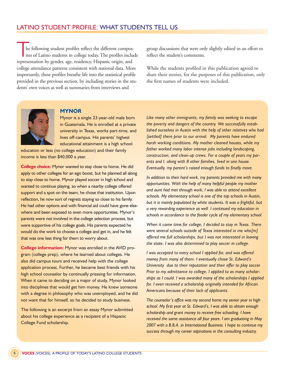The following student profiles reflect the different composites of Latino students in college today. The profiles include the profiles in and ites of Latino students in college today. The profiles include representation by gender, age, residency, Hispanic origin, and college attendance patterns consistent with national data. More importantly, these profiles breathe life into the statistical profile provided in the previous section, by including stories in the students' own voices as well as summaries from interviews and

group discussions that were only slightly edited in an effort to reflect the student's comments.

While the students profiled in this publication agreed to share their stories, for the purposes of this publication, only the first names of students were included.



### **MYNOR**

Mynor is a single 23-year-old male born in Guatemala. He is enrolled at a private university in Texas, works part-time, and lives off-campus. His parents' highest educational attainment is a high school

education or less (no college education) and their family income is less than \$40,000 a year.

**College choice:** Mynor wanted to stay close to home. He did apply to other colleges for an ego boost, but he planned all along to stay close to home. Mynor played soccer in high school and wanted to continue playing, so when a nearby college offered support and a spot on the team, he chose that institution. Upon reflection, he now sort of regrets staying so close to his family. He had other options and with financial aid could have gone elsewhere and been exposed to even more opportunities. Mynor's parents were not involved in the college selection process, but were supportive of his college goals. His parents expected he would do the work to choose a college and get in, and he felt that was one less thing for them to worry about.

**College information:** Mynor was enrolled in the AVID program (college prep), where he learned about colleges. He also did campus tours and received help with the college application process. Further, he became best friends with his high school counselor by continually pressing for information. When it came to deciding on a major of study, Mynor looked into disciplines that would get him money. He knew someone with a degree in philosophy who was unemployed, and he did not want that for himself, so he decided to study business.

The following is an excerpt from an essay Mynor submitted about his college experience as a recipient of a Hispanic College Fund scholarship.

*Like many other immigrants, my family was seeking to escape the poverty and dangers of the country. We successfully established ourselves in Austin with the help of other relatives who had [settled] there prior to our arrival. My parents have endured harsh working conditions. My mother cleaned houses, while my father worked many labor intense jobs including landscaping, construction, and clean-up crews. For a couple of years my parents and I, along with 8 other families, lived in one house. Eventually, my parent's raised enough funds to finally move.* 

*In addition to their hard work, my parents provided me with many opportunities. With the help of many helpful people my mother and aunt had met through work, I was able to attend excellent schools. My elementary school is one of the top schools in Austin, but it is mainly populated by white students. It was a frightful, but a very rewarding experience as well. I continued my education in schools in accordance to the feeder cycle of my elementary school.* 

*When it came time for college, I decided to stay in Texas. There were several schools outside of Texas interested in me who[m] offered me full scholarships, but I was not interested in leaving the state. I was also determined to play soccer in college.* 

*I was accepted to every school I applied for, and was offered money from many of them. I eventually chose St. Edward's University due to their reputation and their offer to play soccer. Prior to my admittance to college, I applied to as many scholarships as I could. I was awarded many of the scholarships I applied for. I even received a scholarship originally intended for African Americans because of their lack of applicants.* 

*The counselor's office was my second home my senior year in high school. My first year at St. Edward's, I was able to obtain enough scholarship and grant money to receive free schooling. I have received the same assistance all four years. I am graduating in May 2007 with a B.B.A. in International Business. I hope to continue my success through my career aspirations in the consulting industry.*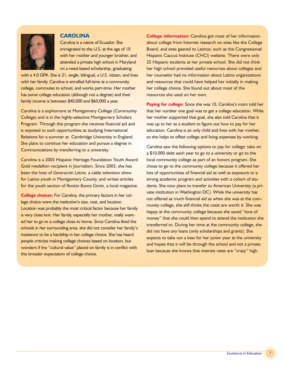

### **CAROLINA**

Carolina is a native of Ecuador. She immigrated to the U.S. at the age of 10 with her mother and younger brother, and attended a private high school in Maryland on a need-based scholarship, graduating

with a 4.0 GPA. She is 21, single, bilingual, a U.S. citizen, and lives with her family. Carolina is enrolled full-time at a community college, commutes to school, and works part-time. Her mother has some college education (although not a degree) and their family income is between \$40,000 and \$60,000 a year.

Carolina is a sophomore at Montgomery College (Community College) and is in the highly-selective Montgomery Scholars Program. Through this program she receives financial aid and is exposed to such opportunities as studying International Relations for a summer at Cambridge University in England. She plans to continue her education and pursue a degree in Communications by transferring to a university.

Carolina is a 2005 Hispanic Heritage Foundation Youth Award Gold medallion recipient in Journalism. Since 2003, she has been the host of *Generación Latina,* a cable television show for Latino youth in Montgomery County, and writes articles for the youth section of *Revista Buena Gente,* a local magazine.

**College choices:** For Carolina, the primary factors in her college choice were the institution's size, cost, and location. Location was probably the most critical factor because her family is very close knit. Her family, especially her mother, really wanted her to go to a college close to home. Since Carolina liked the schools in her surrounding area, she did not consider her family's insistence to be a hardship in her college choice. She has heard people criticize making college choices based on location, but wonders if the "cultural value" placed on family is in conflict with this broader expectation of college choice.

**College information:** Carolina got most of her information about college from Internet research on sites like the College Board, and sites geared to Latinos, such as the Congressional Hispanic Caucus Institute (CHCI) website. There were only 25 Hispanic students at her private school. She did not think her high school provided useful resources about colleges and her counselor had no information about Latino organizations and resources that could have helped her initially in making her college choice. She found out about most of the resources she used on her own.

**Paying for college:** Since she was 10, Carolina's mom told her that her number one goal was to get a college education. While her mother supported that goal, she also told Carolina that it was up to her as a student to figure out how to pay for her education. Carolina is an only child and lives with her mother, so she helps to offset college and living expenses by working.

Carolina saw the following options to pay for college: take on a \$10,000 debt each year to go to a university or go to the local community college as part of an honors program. She chose to go to the community college because it offered her lots of opportunities of financial aid as well as exposure to a strong academic program and activities with a cohort of students. She now plans to transfer to American University (a private institution in Washington DC). While the university has not offered as much financial aid as when she was at the community college, she still thinks the costs are worth it. She was happy at the community college because she saved "tons of money" that she could then spend to attend the institution she transferred to. During her time at the community college, she did not have any loans (only scholarships and grants). She expects to take out a loan for her junior year at the university and hopes that it will be through the school and not a private loan because she knows that interest rates are "crazy" high.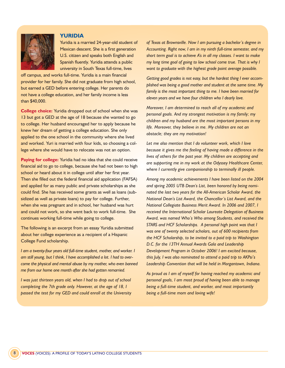

#### **YURIDIA**

Yuridia is a married 24-year-old student of Mexican descent. She is a first generation U.S. citizen and speaks both English and Spanish fluently. Yuridia attends a public university in South Texas full-time, lives

off campus, and works full-time. Yuridia is a main financial provider for her family. She did not graduate from high school, but earned a GED before entering college. Her parents do not have a college education, and her family income is less than \$40,000.

**College choice:** Yuridia dropped out of school when she was 13 but got a GED at the age of 18 because she wanted to go to college. Her husband encouraged her to apply because he knew her dream of getting a college education. She only applied to the one school in the community where she lived and worked. Yuri is married with four kids, so choosing a college where she would have to relocate was not an option.

Paying for college: Yuridia had no idea that she could receive financial aid to go to college, because she had not been to high school or heard about it in college until after her first year. Then she filled out the federal financial aid application (FAFSA) and applied for as many public and private scholarships as she could find. She has received some grants as well as loans (subsidized as well as private loans) to pay for college. Further, when she was pregnant and in school, her husband was hurt and could not work, so she went back to work full-time. She continues working full-time while going to college.

The following is an excerpt from an essay Yuridia submitted about her college experience as a recipient of a Hispanic College Fund scholarship.

*I am a twenty-four years old full-time student, mother, and worker. I am still young, but I think, I have accomplished a lot. I had to overcome the physical and mental abuse by my mother, who even banned me from our home one month after she had gotten remarried.* 

*I was just thirteen years old, when I had to drop out of school completing the 7th grade only. However, at the age of 18, I passed the test for my GED and could enroll at the University*  *of Texas at Brownsville. Now I am pursuing a bachelor's degree in Accounting. Right now, I am in my ninth full-time semester, and my short term goal is to achieve A's in all my classes. I want to make my long time goal of going to law school come true. That is why I want to graduate with the highest grade point average possible.*

*Getting good grades is not easy, but the hardest thing I ever accomplished was being a good mother and student at the same time. My family is the most important thing to me. I have been married for eleven years and we have four children who I dearly love.* 

*Moreover, I am determined to reach all of my academic and personal goals. And my strongest motivation is my family; my children and my husband are the most important persons in my life. Moreover, they believe in me. My children are not an obstacle; they are my motivation!* 

*Let me also mention that I do volunteer work, which I love because it gives me the feeling of having made a difference in the lives of others for the past year. My children are accepting and are supporting me in my work at the Odyssey Healthcare Center, where I currently give companionship to terminally ill people.*

*Among my academic achievements I have been listed on the 2004 and spring 2005 UTB Dean's List, been honored by being nominated the last two years for the All-American Scholar Award, the National Dean's List Award, the Chancellor's List Award, and the National Collegiate Business Merit Award. In 2006 and 2007, I received the International Scholar Laureate Delegation of Business Award, was named Who's Who among Students, and received the STARS and HCF Scholarships. A personal high point was that I was one of twenty selected scholars, out of 600 recipients from the HCF Scholarship, to be invited to a paid trip to Washington D.C. for the 13TH Annual Awards Gala and Leadership Development Program in October 2006! I am excited because, this July, I was also nominated to attend a paid trip to AKPsi's Leadership Convention that will be held in Morgantown, Indiana.*

*As proud as I am of myself for having reached my academic and personal goals, I am most proud of having been able to manage being a full-time student, and worker, and most importantly being a full-time mom and loving wife!*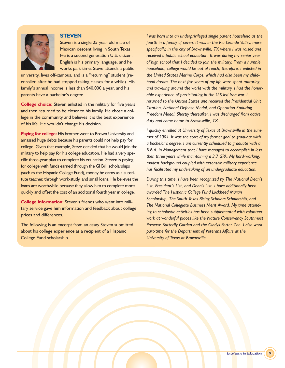

#### **STEVEN**

Steven is a single 25-year-old male of Mexican descent living in South Texas. He is a second generation U.S. citizen, English is his primary language, and he works part-time. Steve attends a public

university, lives off-campus, and is a "returning" student (reenrolled after he had stopped taking classes for a while). His family's annual income is less than \$40,000 a year, and his parents have a bachelor's degree.

**College choice:** Steven enlisted in the military for five years and then returned to be closer to his family. He chose a college in the community and believes it is the best experience of his life. He wouldn't change his decision.

**Paying for college:** His brother went to Brown University and amassed huge debts because his parents could not help pay for college. Given that example, Steve decided that he would join the military to help pay for his college education. He had a very specific three-year plan to complete his education. Steven is paying for college with funds earned through the GI Bill, scholarships (such as the Hispanic College Fund), money he earns as a substitute teacher, through work-study, and small loans. He believes the loans are worthwhile because they allow him to complete more quickly and offset the cost of an additional fourth year in college.

**College information:** Steven's friends who went into military service gave him information and feedback about college prices and differences.

The following is an excerpt from an essay Steven submitted about his college experience as a recipient of a Hispanic College Fund scholarship.

*I was born into an underprivileged single parent household as the fourth in a family of seven. It was in the Rio Grande Valley, more specifically, in the city of Brownsville, TX where I was raised and received a public school education. It was during my senior year of high school that I decided to join the military. From a humble household, college would be out of reach; therefore, I enlisted in the United States Marine Corps, which had also been my childhood dream. The next five years of my life were spent maturing and traveling around the world with the military. I had the honorable experience of participating in the U.S led Iraq war. I returned to the United States and received the Presidential Unit Citation, National Defense Medal, and Operation Enduring Freedom Medal. Shortly thereafter, I was discharged from active duty and came home to Brownsville, TX.* 

*I quickly enrolled at University of Texas at Brownsville in the summer of 2004. It was the start of my former goal to graduate with a bachelor's degree. I am currently scheduled to graduate with a B.B.A. in Management that I have managed to accomplish in less then three years while maintaining a 3.7 GPA. My hard-working, modest background coupled with extensive military experience has facilitated my undertaking of an undergraduate education.* 

*During this time, I have been recognized by The National Dean's List, President's List, and Dean's List. I have additionally been awarded The Hispanic College Fund Lockheed Martin Scholarship, The South Texas Rising Scholars Scholarship, and The National Collegiate Business Merit Award. My time attending to scholastic activities has been supplemented with volunteer work at wonderful places like the Nature Conservancy Southmost Preserve Butterfly Garden and the Gladys Porter Zoo. I also work part-time for the Department of Veterans Affairs at the University of Texas at Brownsville.*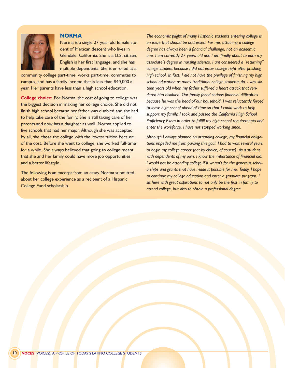

#### **NORMA**

Norma is a single 27-year-old female student of Mexican descent who lives in Glendale, California. She is a U.S. citizen, English is her first language, and she has multiple dependents. She is enrolled at a

community college part-time, works part-time, commutes to campus, and has a family income that is less than \$40,000 a year. Her parents have less than a high school education.

**College choice:** For Norma, the cost of going to college was the biggest decision in making her college choice. She did not finish high school because her father was disabled and she had to help take care of the family. She is still taking care of her parents and now has a daughter as well. Norma applied to five schools that had her major. Although she was accepted by all, she chose the college with the lowest tuition because of the cost. Before she went to college, she worked full-time for a while. She always believed that going to college meant that she and her family could have more job opportunities and a better lifestyle.

The following is an excerpt from an essay Norma submitted about her college experience as a recipient of a Hispanic College Fund scholarship.

*The economic plight of many Hispanic students entering college is an issue that should be addressed. For me, attaining a college degree has always been a financial challenge, not an academic one. I am currently 27-years-old and I am finally about to earn my associate's degree in nursing science. I am considered a "returning" college student because I did not enter college right after finishing high school. In fact, I did not have the privilege of finishing my high school education as many traditional college students do. I was sixteen years old when my father suffered a heart attack that rendered him disabled. Our family faced serious financial difficulties because he was the head of our household. I was reluctantly forced to leave high school ahead of time so that I could work to help support my family. I took and passed the California High School Proficiency Exam in order to fulfill my high school requirements and enter the workforce. I have not stopped working since.* 

*Although I always planned on attending college, my financial obligations impeded me from pursing this goal. I had to wait several years to begin my college career (not by choice, of course). As a student with dependents of my own, I know the importance of financial aid. I would not be attending college if it weren't for the generous scholarships and grants that have made it possible for me. Today, I hope to continue my college education and enter a graduate program. I sit here with great aspirations to not only be the first in family to attend college, but also to obtain a professional degree.*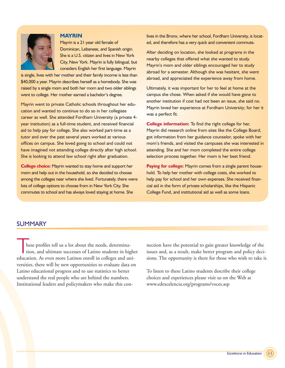

#### **MAYRIN**

Mayrin is a 21-year old female of Dominican, Lebanese, and Spanish origin. She is a U.S. citizen and lives in New York City, New York. Mayrin is fully bilingual, but considers English her first language. Mayrin

is single, lives with her mother and their family income is less than \$40,000 a year. Mayrin describes herself as a homebody. She was raised by a single mom and both her mom and two older siblings went to college. Her mother earned a bachelor's degree.

Mayrin went to private Catholic schools throughout her education and wanted to continue to do so in her collegiate career as well. She attended Fordham University (a private 4 year institution) as a full-time student, and received financial aid to help pay for college. She also worked part-time as a tutor and over the past several years worked at various offices on campus. She loved going to school and could not have imagined not attending college directly after high school. She is looking to attend law school right after graduation.

**College choice:** Mayrin wanted to stay home and support her mom and help out in the household, so she decided to choose among the colleges near where she lived. Fortunately, there were lots of college options to choose from in New York City. She commutes to school and has always loved staying at home. She

lives in the Bronx, where her school, Fordham University, is located, and therefore has a very quick and convenient commute.

After deciding on location, she looked at programs in the nearby colleges that offered what she wanted to study. Mayrin's mom and older siblings encouraged her to study abroad for a semester. Although she was hesitant, she went abroad, and appreciated the experience away from home.

Ultimately, it was important for her to feel at home at the campus she chose. When asked if she would have gone to another institution if cost had not been an issue, she said no. Mayrin loved her experience at Fordham University; for her it was a perfect fit.

**College information:** To find the right college for her, Mayrin did research online from sites like the College Board, got information from her guidance counselor, spoke with her mom's friends, and visited the campuses she was interested in attending. She and her mom completed the entire college selection process together. Her mom is her best friend.

Paying for college: Mayrin comes from a single parent household. To help her mother with college costs, she worked to help pay for school and her own expenses. She received financial aid in the form of private scholarships, like the Hispanic College Fund, and institutional aid as well as some loans.

## SUMMARY

These profiles tell us a lot about the needs, determina-<br>tion, and ultimate successes of Latino students in high<br>education. As even more Latinos enroll in colleges and un tion, and ultimate successes of Latino students in higher education. As even more Latinos enroll in colleges and universities, there will be new opportunities to evaluate data on Latino educational progress and to use statistics to better understand the real people who are behind the numbers. Institutional leaders and policymakers who make this con-

nection have the potential to gain greater knowledge of the issues and, as a result, make better program and policy decisions. The opportunity is there for those who wish to take it.

To listen to these Latino students describe their college choices and experiences please visit us on the Web at www.edexcelencia.org/programs/voces.asp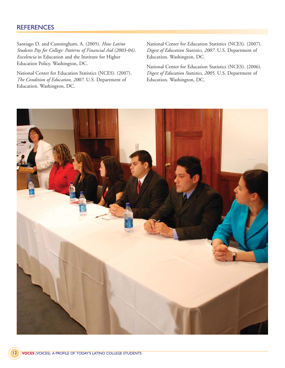# **REFERENCES**

Santiago D. and Cunningham, A. (2005). *How Latino Students Pay for College: Patterns of Financial Aid (2003-04), Excelencia* in Education and the Institute for Higher Education Policy. Washington, DC.

National Center for Education Statistics (NCES). (2007). *The Condition of Education, 2007.* U.S. Department of Education. Washington, DC.

National Center for Education Statistics (NCES). (2007). *Digest of Education Statistics, 2007.* U.S. Department of Education. Washington, DC.

National Center for Education Statistics (NCES). (2006). *Digest of Education Statistics, 2005.* U.S. Department of Education. Washington, DC.

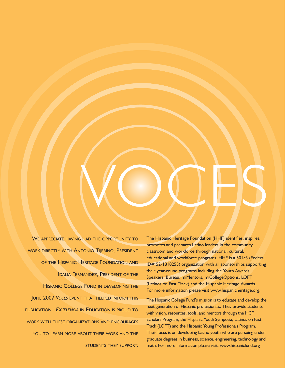WE APPRECIATE HAVING HAD THE OPPORTUNITY TO WORK DIRECTLY WITH ANTONIO TIJERINO, PRESIDENT OF THE HISPANIC HERITAGE FOUNDATION AND IDALIA FERNANDEZ, PRESIDENT OF THE HISPANIC COLLEGE FUND IN DEVELOPING THE JUNE 2007 *VOCES* EVENT THAT HELPED INFORM THIS PUBLICATION. *EXCELENCIA* IN EDUCATION IS PROUD TO WORK WITH THESE ORGANIZATIONS AND ENCOURAGES YOU TO LEARN MORE ABOUT THEIR WORK AND THE STUDENTS THEY SUPPORT.

The Hispanic Heritage Foundation (HHF) identifies, inspires, promotes and prepares Latino leaders in the community, classroom and workforce through national, cultural, educational and workforce programs. HHF is a 501c3 (Federal ID# 52-1818255) organization with all sponsorships supporting their year-round programs including the Youth Awards, Speakers' Bureau, miMentors, miCollegeOptions, LOFT (Latinos on Fast Track) and the Hispanic Heritage Awards. For more information please visit www.hispanicheritage.org.

VOCES

The Hispanic College Fund's mission is to educate and develop the next generation of Hispanic professionals. They provide students with vision, resources, tools, and mentors through the HCF Scholars Program, the Hispanic Youth Symposia, Latinos on Fast Track (LOFT) and the Hispanic Young Professionals Program. Their focus is on developing Latino youth who are pursuing undergraduate degrees in business, science, engineering, technology and math. For more information please visit: www.hispanicfund.org